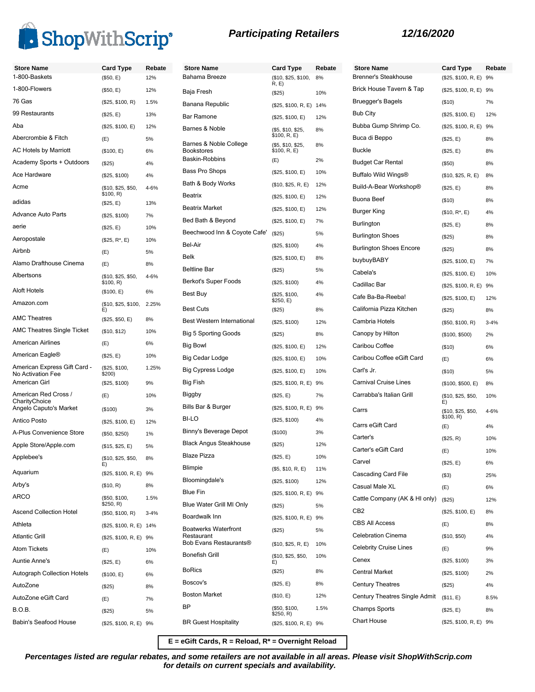

| <b>Store Name</b>                                 | <b>Card Type</b>                | Rebate   | <b>Store Name</b>                    | <b>Card Type</b>                  | Rebate | <b>Store Name</b>       |
|---------------------------------------------------|---------------------------------|----------|--------------------------------------|-----------------------------------|--------|-------------------------|
| 1-800-Baskets                                     | (\$50, E)                       | 12%      | Bahama Breeze                        | (\$10, \$25, \$100,<br>R, E)      | 8%     | <b>Brenner's Steal</b>  |
| 1-800-Flowers                                     | (\$50, E)                       | 12%      | Baja Fresh                           | (\$25)                            | 10%    | <b>Brick House Ta</b>   |
| 76 Gas                                            | (\$25, \$100, R)                | 1.5%     | Banana Republic                      | (\$25, \$100, R, E) 14%           |        | Bruegger's Bag          |
| 99 Restaurants                                    | (\$25, E)                       | 13%      | <b>Bar Ramone</b>                    | (\$25, \$100, E)                  | 12%    | <b>Bub City</b>         |
| Aba                                               | (\$25, \$100, E)                | 12%      | Barnes & Noble                       | (\$5, \$10, \$25,                 | 8%     | Bubba Gump S            |
| Abercrombie & Fitch                               | (E)                             | 5%       | Barnes & Noble College               | \$100, R, E)<br>(\$5, \$10, \$25, | 8%     | Buca di Beppo           |
| <b>AC Hotels by Marriott</b>                      | (\$100, E)                      | 6%       | <b>Bookstores</b><br>Baskin-Robbins  | \$100, R, E)                      |        | <b>Buckle</b>           |
| Academy Sports + Outdoors                         | (\$25)                          | 4%       |                                      | (E)                               | 2%     | <b>Budget Car Rer</b>   |
| Ace Hardware                                      | (\$25, \$100)                   | 4%       | <b>Bass Pro Shops</b>                | (\$25, \$100, E)                  | 10%    | Buffalo Wild Wi         |
| Acme                                              | (\$10, \$25, \$50,<br>\$100, R) | 4-6%     | Bath & Body Works<br>Beatrix         | (\$10, \$25, R, E)                | 12%    | Build-A-Bear W          |
| adidas                                            | (\$25, E)                       | 13%      | <b>Beatrix Market</b>                | (\$25, \$100, E)                  | 12%    | <b>Buona Beef</b>       |
| <b>Advance Auto Parts</b>                         | (\$25, \$100)                   | 7%       |                                      | (\$25, \$100, E)                  | 12%    | Burger King             |
| aerie                                             | (\$25, E)                       | 10%      | Bed Bath & Beyond                    | (\$25, \$100, E)                  | 7%     | Burlington              |
| Aeropostale                                       | $($25, R^*, E)$                 | 10%      | Beechwood Inn & Coyote Cafe'         | (\$25)                            | 5%     | <b>Burlington Shoe</b>  |
| Airbnb                                            | (E)                             | 5%       | Bel-Air                              | (\$25, \$100)                     | 4%     | <b>Burlington Shoe</b>  |
| Alamo Drafthouse Cinema                           | (E)                             | 8%       | Belk                                 | (\$25, \$100, E)                  | 8%     | buybuyBABY              |
| Albertsons                                        | (\$10, \$25, \$50,              | 4-6%     | <b>Beltline Bar</b>                  | (\$25)                            | 5%     | Cabela's                |
| <b>Aloft Hotels</b>                               | \$100, R)                       |          | <b>Berkot's Super Foods</b>          | (\$25, \$100)                     | 4%     | Cadillac Bar            |
| Amazon.com                                        | (\$100, E)                      | 6%       | Best Buy                             | (\$25, \$100,<br>\$250, E)        | 4%     | Cafe Ba-Ba-Re           |
|                                                   | (\$10, \$25, \$100,<br>E)       | 2.25%    | <b>Best Cuts</b>                     | (\$25)                            | 8%     | California Pizza        |
| <b>AMC Theatres</b>                               | (\$25, \$50, E)                 | 8%       | <b>Best Western International</b>    | (\$25, \$100)                     | 12%    | Cambria Hotels          |
| <b>AMC Theatres Single Ticket</b>                 | (\$10, \$12)                    | 10%      | <b>Big 5 Sporting Goods</b>          | (\$25)                            | 8%     | Canopy by Hilto         |
| <b>American Airlines</b>                          | (E)                             | 6%       | Big Bowl                             | (\$25, \$100, E)                  | 12%    | Caribou Coffee          |
| American Eagle®                                   | (\$25, E)                       | 10%      | Big Cedar Lodge                      | (\$25, \$100, E)                  | 10%    | Caribou Coffee          |
| American Express Gift Card -<br>No Activation Fee | (\$25, \$100,<br>\$200)         | 1.25%    | <b>Big Cypress Lodge</b>             | (\$25, \$100, E)                  | 10%    | Carl's Jr.              |
| American Girl                                     | (\$25, \$100)                   | 9%       | Big Fish                             | (\$25, \$100, R, E) 9%            |        | <b>Carnival Cruise</b>  |
| American Red Cross /                              | (E)                             | 10%      | Biggby                               | (\$25, E)                         | 7%     | Carrabba's Itali        |
| CharityChoice<br>Angelo Caputo's Market           | (\$100)                         | 3%       | Bills Bar & Burger                   | (\$25, \$100, R, E) 9%            |        | Carrs                   |
| <b>Antico Posto</b>                               | (\$25, \$100, E)                | 12%      | BI-LO                                | (\$25, \$100)                     | 4%     | Carrs eGift Car         |
| A-Plus Convenience Store                          | (\$50, \$250)                   | 1%       | Binny's Beverage Depot               | (\$100)                           | 3%     |                         |
| Apple Store/Apple.com                             | (\$15, \$25, E)                 | 5%       | <b>Black Angus Steakhouse</b>        | (\$25)                            | 12%    | Carter's                |
| Applebee's                                        | (\$10, \$25, \$50,              | 8%       | <b>Blaze Pizza</b>                   | (\$25, E)                         | 10%    | Carter's eGift C        |
| Aquarium                                          | E)                              |          | <b>Blimpie</b>                       | (\$5, \$10, R, E)                 | 11%    | Carvel                  |
|                                                   | (\$25, \$100, R, E) 9%          |          | Bloomingdale's                       | (\$25, \$100)                     | 12%    | Cascading Card          |
| Arby's                                            | (\$10, R)                       | 8%       | <b>Blue Fin</b>                      | (\$25, \$100, R, E) 9%            |        | Casual Male XL          |
| <b>ARCO</b>                                       | (\$50, \$100,<br>\$250, R)      | 1.5%     | Blue Water Grill MI Only             | (\$25)                            | 5%     | Cattle Compan           |
| <b>Ascend Collection Hotel</b>                    | (\$50, \$100, R)                | $3 - 4%$ | Boardwalk Inn                        | (\$25, \$100, R, E) 9%            |        | CB <sub>2</sub>         |
| Athleta                                           | (\$25, \$100, R, E) 14%         |          | <b>Boatwerks Waterfront</b>          | (\$25)                            | 5%     | <b>CBS All Access</b>   |
| <b>Atlantic Grill</b>                             | (\$25, \$100, R, E) 9%          |          | Restaurant<br>Bob Evans Restaurants® | (\$10, \$25, R, E)                | 10%    | <b>Celebration Cin</b>  |
| <b>Atom Tickets</b>                               | (E)                             | 10%      | <b>Bonefish Grill</b>                | (\$10, \$25, \$50,                | 10%    | <b>Celebrity Cruise</b> |
| <b>Auntie Anne's</b>                              | (\$25, E)                       | 6%       |                                      | E)                                |        | Cenex                   |
| <b>Autograph Collection Hotels</b>                | (\$100, E)                      | 6%       | <b>BoRics</b>                        | (\$25)                            | 8%     | <b>Central Market</b>   |
| AutoZone                                          | (\$25)                          | 8%       | Boscov's                             | (\$25, E)                         | 8%     | Century Theatr          |
| AutoZone eGift Card                               | (E)                             | 7%       | <b>Boston Market</b>                 | (\$10, E)                         | 12%    | Century Theatr          |
| <b>B.O.B.</b>                                     | (\$25)                          | 5%       | BP                                   | (\$50, \$100,<br>\$250, R)        | 1.5%   | <b>Champs Sports</b>    |
| Babin's Seafood House                             | (\$25, \$100, R, E) 9%          |          | <b>BR Guest Hospitality</b>          | (\$25, \$100, R, E) 9%            |        | Chart House             |

| <b>Store Name</b><br><b>Brenner's Steakhouse</b> | <b>Card Type</b>                | Rebate<br>9% |
|--------------------------------------------------|---------------------------------|--------------|
| Brick House Tavern & Tap                         | (\$25, \$100, R, E)             |              |
| Bruegger's Bagels                                | (\$25, \$100, R, E) 9%          | 7%           |
| <b>Bub City</b>                                  | (\$10)                          | 12%          |
| Bubba Gump Shrimp Co.                            | (\$25, \$100, E)                |              |
| Buca di Beppo                                    | (\$25, \$100, R, E) 9%          |              |
| <b>Buckle</b>                                    | (\$25, E)                       | 8%<br>8%     |
| <b>Budget Car Rental</b>                         | (\$25, E)                       |              |
| Buffalo Wild Wings®                              | (\$50)                          | 8%           |
| Build-A-Bear Workshop®                           | (\$10, \$25, R, E)              | 8%           |
| Buona Beef                                       | (\$25, E)                       | 8%           |
|                                                  | (\$10)                          | 8%           |
| Burger King                                      | $($10, R^*, E)$                 | 4%           |
| Burlington                                       | (\$25, E)                       | 8%           |
| <b>Burlington Shoes</b>                          | (\$25)                          | 8%           |
| <b>Burlington Shoes Encore</b>                   | (\$25)                          | 8%           |
| buybuyBABY                                       | (\$25, \$100, E)                | 7%           |
| Cabela's                                         | (\$25, \$100, E)                | 10%          |
| Cadillac Bar                                     | (\$25, \$100, R, E)             | 9%           |
| Cafe Ba-Ba-Reeba!                                | (\$25, \$100, E)                | 12%          |
| California Pizza Kitchen                         | (\$25)                          | 8%           |
| Cambria Hotels                                   | (\$50, \$100, R)                | $3 - 4%$     |
| Canopy by Hilton                                 | (\$100, \$500)                  | 2%           |
| Caribou Coffee                                   | (\$10)                          | 6%           |
| Caribou Coffee eGift Card                        | (E)                             | 6%           |
| Carl's Jr.                                       | (\$10)                          | 5%           |
| Carnival Cruise Lines                            | (\$100, \$500, E)               | 8%           |
| Carrabba's Italian Grill                         | (\$10, \$25, \$50,<br>E)        | 10%          |
| Carrs                                            | (\$10, \$25, \$50,<br>\$100, R) | 4-6%         |
| Carrs eGift Card                                 | (E)                             | 4%           |
| Carter's                                         | (\$25, R)                       | 10%          |
| Carter's eGift Card                              | (E)                             | 10%          |
| Carvel                                           | (\$25, E)                       | 6%           |
| Cascading Card File                              | $($ \$3)                        | 25%          |
| Casual Male XL                                   | (E)                             | 6%           |
| Cattle Company (AK & HI only)                    | (\$25)                          | 12%          |
| CB <sub>2</sub>                                  | (\$25, \$100, E)                | 8%           |
| <b>CBS All Access</b>                            | (E)                             | 8%           |
| <b>Celebration Cinema</b>                        | (\$10, \$50)                    | 4%           |
| <b>Celebrity Cruise Lines</b>                    | (E)                             | 9%           |
| Cenex                                            | (\$25, \$100)                   | 3%           |
| <b>Central Market</b>                            | (\$25, \$100)                   | 2%           |
| <b>Century Theatres</b>                          | (\$25)                          | 4%           |
| Century Theatres Single Admit                    | (\$11, E)                       | 8.5%         |
| <b>Champs Sports</b>                             | (\$25, E)                       | 8%           |
| <b>Chart House</b>                               | (\$25, \$100, R, E) 9%          |              |

**E = eGift Cards, R = Reload, R\* = Overnight Reload**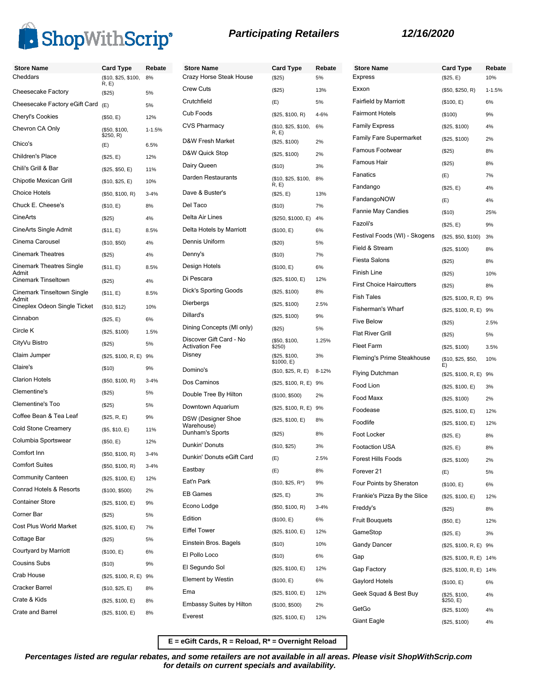

| <b>Store Name</b>                     | <b>Card Type</b>             | Rebate     | <b>Store Name</b>                                | <b>Card Type</b>                 | Rebate   | <b>Store</b>      |
|---------------------------------------|------------------------------|------------|--------------------------------------------------|----------------------------------|----------|-------------------|
| Cheddars                              | (\$10, \$25, \$100,<br>R, E) | 8%         | Crazy Horse Steak House                          | (\$25)                           | 5%       | Expre:            |
| Cheesecake Factory                    | (\$25)                       | 5%         | <b>Crew Cuts</b>                                 | (\$25)                           | 13%      | Exxon             |
| Cheesecake Factory eGift Card         | (E)                          | 5%         | Crutchfield                                      | (E)                              | 5%       | Fairfie           |
| <b>Cheryl's Cookies</b>               | (\$50, E)                    | 12%        | Cub Foods                                        | (\$25, \$100, R)                 | 4-6%     | Fairm             |
| Chevron CA Only                       | (\$50, \$100,<br>\$250, R)   | $1 - 1.5%$ | <b>CVS Pharmacy</b>                              | (\$10, \$25, \$100,<br>R, E)     | 6%       | Family<br>Family  |
| Chico's                               | (E)                          | 6.5%       | D&W Fresh Market                                 | (\$25, \$100)                    | 2%       |                   |
| Children's Place                      | (\$25, E)                    | 12%        | D&W Quick Stop                                   | (\$25, \$100)                    | 2%       | Famor             |
| Chili's Grill & Bar                   | (\$25, \$50, E)              | 11%        | Dairy Queen                                      | (\$10)                           | 3%       | Famor             |
| Chipotle Mexican Grill                | (\$10, \$25, E)              | 10%        | Darden Restaurants                               | (\$10, \$25, \$100,<br>R, E      | 8%       | Fanati            |
| <b>Choice Hotels</b>                  | (\$50, \$100, R)             | $3 - 4%$   | Dave & Buster's                                  | (\$25, E)                        | 13%      | Fanda             |
| Chuck E. Cheese's                     | (\$10, E)                    | 8%         | Del Taco                                         | (\$10)                           | 7%       | Fanda             |
| CineArts                              | (\$25)                       | 4%         | Delta Air Lines                                  | (\$250, \$1000, E)               | 4%       | Fannie            |
| CineArts Single Admit                 | (\$11, E)                    | 8.5%       | Delta Hotels by Marriott                         | (\$100, E)                       | 6%       | Fazoli            |
| Cinema Carousel                       | (\$10, \$50)                 | 4%         | Dennis Uniform                                   | (\$20)                           | 5%       | Festiv            |
| <b>Cinemark Theatres</b>              | (\$25)                       | 4%         | Denny's                                          | (\$10)                           | 7%       | Field &           |
| <b>Cinemark Theatres Single</b>       | (\$11, E)                    | 8.5%       | Design Hotels                                    | (\$100, E)                       | 6%       | Fiesta            |
| Admit<br>Cinemark Tinseltown          | (\$25)                       | 4%         | Di Pescara                                       | (\$25, \$100, E)                 | 12%      | Finish            |
| Cinemark Tinseltown Single            | (\$11, E)                    | 8.5%       | <b>Dick's Sporting Goods</b>                     | (\$25, \$100)                    | 8%       | First C           |
| Admit<br>Cineplex Odeon Single Ticket | (\$10, \$12)                 | 10%        | Dierbergs                                        | (\$25, \$100)                    | 2.5%     | Fish T            |
| Cinnabon                              | (\$25, E)                    | 6%         | Dillard's                                        | (\$25, \$100)                    | 9%       | Fisher            |
| Circle K                              | (\$25, \$100)                | 1.5%       | Dining Concepts (MI only)                        | (\$25)                           | 5%       | Five B            |
| CityVu Bistro                         | (\$25)                       | 5%         | Discover Gift Card - No<br><b>Activation Fee</b> | (\$50, \$100,<br>\$250)          | 1.25%    | Flat R<br>Fleet F |
| Claim Jumper                          | (\$25, \$100, R, E) 9%       |            | Disney                                           | (\$25, \$100,                    | 3%       | Flemir            |
| Claire's                              | (\$10)                       | 9%         | Domino's                                         | \$1000, E)<br>(\$10, \$25, R, E) | 8-12%    |                   |
| <b>Clarion Hotels</b>                 | (\$50, \$100, R)             | $3 - 4%$   | Dos Caminos                                      | (\$25, \$100, R, E) 9%           |          | Flying            |
| Clementine's                          | (\$25)                       | 5%         | Double Tree By Hilton                            | (\$100, \$500)                   | 2%       | Food I            |
| Clementine's Too                      | (\$25)                       | 5%         | Downtown Aquarium                                | (\$25, \$100, R, E) 9%           |          | Food I            |
| Coffee Bean & Tea Leaf                | (\$25, R, E)                 | 9%         | DSW (Designer Shoe                               | (\$25, \$100, E)                 | 8%       | Foode             |
| <b>Cold Stone Creamery</b>            | (\$5, \$10, E)               | 11%        | Warehouse)<br>Dunham's Sports                    |                                  |          | Foodli            |
| Columbia Sportswear                   | (\$50, E)                    | 12%        | Dunkin' Donuts                                   | (\$25)                           | 8%       | Foot L            |
| Comfort Inn                           | (\$50, \$100, R)             | $3 - 4%$   |                                                  | (\$10, \$25)                     | 3%       | Foota             |
| <b>Comfort Suites</b>                 | (\$50, \$100, R)             | $3 - 4%$   | Dunkin' Donuts eGift Card                        | (E)                              | 2.5%     | Forest            |
| <b>Community Canteen</b>              | (\$25, \$100, E)             | 12%        | Eastbay                                          | (E)                              | 8%       | Foreve            |
| Conrad Hotels & Resorts               | (\$100, \$500)               | 2%         | Eat'n Park                                       | $($10, $25, R^*)$                | 9%       | Four F            |
| <b>Container Store</b>                | (\$25, \$100, E)             | 9%         | <b>EB Games</b>                                  | (\$25, E)                        | 3%       | Franki            |
| Corner Bar                            | (\$25)                       | 5%         | Econo Lodge                                      | (\$50, \$100, R)                 | $3 - 4%$ | Fredd             |
| Cost Plus World Market                | (\$25, \$100, E)             | 7%         | Edition                                          | (\$100, E)                       | 6%       | Fruit E           |
| Cottage Bar                           | (\$25)                       | 5%         | <b>Eiffel Tower</b>                              | (\$25, \$100, E)                 | 12%      | Game              |
| Courtyard by Marriott                 | (\$100, E)                   | 6%         | Einstein Bros. Bagels                            | $($ \$10)                        | 10%      | Gandy             |
| <b>Cousins Subs</b>                   | (\$10)                       | 9%         | El Pollo Loco                                    | (\$10)                           | 6%       | Gap               |
| Crab House                            | (\$25, \$100, R, E) 9%       |            | El Segundo Sol                                   | (\$25, \$100, E)                 | 12%      | Gap F             |
| Cracker Barrel                        | (\$10, \$25, E)              | 8%         | Element by Westin                                | (\$100, E)                       | 6%       | Gaylor            |
| Crate & Kids                          | (\$25, \$100, E)             | 8%         | Ema                                              | (\$25, \$100, E)                 | 12%      | Geek              |
| Crate and Barrel                      | (\$25, \$100, E)             | 8%         | <b>Embassy Suites by Hilton</b>                  | (\$100, \$500)                   | 2%       | GetGo             |
|                                       |                              |            | Everest                                          | (\$25, \$100, E)                 | 12%      | $C_{init}$        |

| <b>Store Name</b>               | <b>Card Type</b>           | Rebate     |
|---------------------------------|----------------------------|------------|
| <b>Express</b>                  | (\$25, E)                  | 10%        |
| Exxon                           | (\$50, \$250, R)           | $1 - 1.5%$ |
| <b>Fairfield by Marriott</b>    | (\$100, E)                 | 6%         |
| <b>Fairmont Hotels</b>          | (\$100)                    | 9%         |
| <b>Family Express</b>           | (\$25, \$100)              | 4%         |
| <b>Family Fare Supermarket</b>  | (\$25, \$100)              | 2%         |
| <b>Famous Footwear</b>          | (\$25)                     | 8%         |
| Famous Hair                     | (\$25)                     | 8%         |
| Fanatics                        | (E)                        | 7%         |
| Fandango                        | (\$25, E)                  | 4%         |
| FandangoNOW                     | (E)                        | 4%         |
| <b>Fannie May Candies</b>       | (\$10)                     | 25%        |
| Fazoli's                        | (\$25, E)                  | 9%         |
| Festival Foods (WI) - Skogens   | (\$25, \$50, \$100)        | 3%         |
| Field & Stream                  | (\$25, \$100)              | 8%         |
| <b>Fiesta Salons</b>            | (\$25)                     | 8%         |
| Finish Line                     | (\$25)                     | 10%        |
| <b>First Choice Haircutters</b> | (\$25)                     | 8%         |
| <b>Fish Tales</b>               | (\$25, \$100, R, E)        | 9%         |
| <b>Fisherman's Wharf</b>        | (\$25, \$100, R, E)        | 9%         |
| <b>Five Below</b>               | (\$25)                     | 2.5%       |
| <b>Flat River Grill</b>         | (\$25)                     | 5%         |
| <b>Fleet Farm</b>               | (\$25, \$100)              | 3.5%       |
| Fleming's Prime Steakhouse      | (\$10, \$25, \$50,<br>E)   | 10%        |
| <b>Flying Dutchman</b>          | (\$25, \$100, R, E)        | 9%         |
| Food Lion                       | (\$25, \$100, E)           | 3%         |
| Food Maxx                       | (\$25, \$100)              | 2%         |
| Foodease                        | (\$25, \$100, E)           | 12%        |
| Foodlife                        | (\$25, \$100, E)           | 12%        |
| Foot Locker                     | (\$25, E)                  | 8%         |
| <b>Footaction USA</b>           | (\$25, E)                  | 8%         |
| <b>Forest Hills Foods</b>       | (\$25, \$100)              | 2%         |
| Forever 21                      | (E)                        | 5%         |
| Four Points by Sheraton         | (\$100, E)                 | 6%         |
| Frankie's Pizza By the Slice    | (\$25, \$100, E)           | 12%        |
| Freddy's                        | (\$25)                     | 8%         |
| <b>Fruit Bouguets</b>           | (\$50, E)                  | 12%        |
| GameStop                        | (\$25, E)                  | 3%         |
| <b>Gandy Dancer</b>             | (\$25, \$100, R, E)        | 9%         |
| Gap                             | (\$25, \$100, R, E)        | 14%        |
| Gap Factory                     | (\$25, \$100, R, E)        | 14%        |
| Gaylord Hotels                  | (\$100, E)                 | 6%         |
| Geek Squad & Best Buy           | (\$25, \$100,<br>\$250, E) | 4%         |
| GetGo                           | (\$25, \$100)              | 4%         |
| Giant Eagle                     | (\$25, \$100)              | 4%         |

**E = eGift Cards, R = Reload, R\* = Overnight Reload**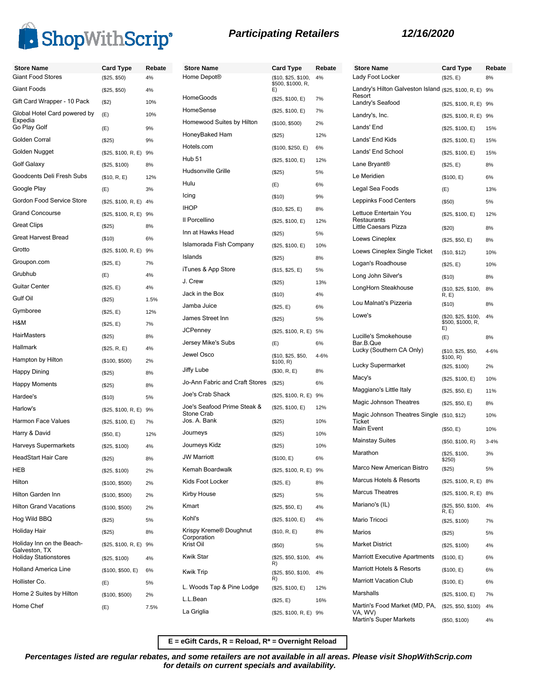

| <b>Store Name</b>                          | <b>Card Type</b>       | Rebate | <b>Store Name</b>             |
|--------------------------------------------|------------------------|--------|-------------------------------|
| <b>Giant Food Stores</b>                   | (\$25, \$50)           | 4%     | Home Depot <sup>®</sup>       |
| <b>Giant Foods</b>                         | (\$25, \$50)           | 4%     |                               |
| Gift Card Wrapper - 10 Pack                | (\$2)                  | 10%    | HomeGoods                     |
| Global Hotel Card powered by<br>Expedia    | (E)                    | 10%    | HomeSense                     |
| Go Play Golf                               | (E)                    | 9%     | Homewood Suites by Hilton     |
| Golden Corral                              | $(\$25)$               | 9%     | HoneyBaked Ham                |
| Golden Nugget                              | (\$25, \$100, R, E) 9% |        | Hotels.com                    |
| <b>Golf Galaxy</b>                         | (\$25, \$100)          | 8%     | <b>Hub 51</b>                 |
| Goodcents Deli Fresh Subs                  | (\$10, R, E)           | 12%    | Hudsonville Grille            |
| Google Play                                | (E)                    | 3%     | Hulu                          |
| Gordon Food Service Store                  | (\$25, \$100, R, E) 4% |        | Icing                         |
| <b>Grand Concourse</b>                     | (\$25, \$100, R, E) 9% |        | <b>IHOP</b>                   |
| <b>Great Clips</b>                         | $(\$25)$               | 8%     | Il Porcellino                 |
| <b>Great Harvest Bread</b>                 | (\$10)                 | 6%     | Inn at Hawks Head             |
| Grotto                                     | (\$25, \$100, R, E) 9% |        | Islamorada Fish Company       |
| Groupon.com                                | (\$25, E)              | 7%     | Islands                       |
| Grubhub                                    | (E)                    | 4%     | iTunes & App Store            |
| <b>Guitar Center</b>                       | (\$25, E)              | 4%     | J. Crew                       |
| Gulf Oil                                   | $(\$25)$               | 1.5%   | Jack in the Box               |
| Gymboree                                   | (\$25, E)              | 12%    | Jamba Juice                   |
| H&M                                        | (\$25, E)              | 7%     | James Street Inn              |
| <b>HairMasters</b>                         | (\$25)                 | 8%     | <b>JCPenney</b>               |
| <b>Hallmark</b>                            | (\$25, R, E)           | 4%     | Jersey Mike's Subs            |
| Hampton by Hilton                          | (\$100, \$500)         | 2%     | Jewel Osco                    |
| Happy Dining                               | $(\$25)$               | 8%     | Jiffy Lube                    |
| <b>Happy Moments</b>                       | (\$25)                 | 8%     | Jo-Ann Fabric and Craft Store |
| Hardee's                                   | $($ \$10)              | 5%     | Joe's Crab Shack              |
| Harlow's                                   | (\$25, \$100, R, E) 9% |        | Joe's Seafood Prime Steak &   |
| <b>Harmon Face Values</b>                  | (\$25, \$100, E)       | 7%     | Stone Crab<br>Jos. A. Bank    |
| Harry & David                              | (\$50, E)              | 12%    | Journeys                      |
| Harveys Supermarkets                       | (\$25, \$100)          | 4%     | Journeys Kidz                 |
| <b>HeadStart Hair Care</b>                 | (\$25)                 | 8%     | <b>JW Marriott</b>            |
| <b>HEB</b>                                 | (\$25, \$100)          | 2%     | Kemah Boardwalk               |
| Hilton                                     | (\$100, \$500)         | 2%     | Kids Foot Locker              |
| Hilton Garden Inn                          | (\$100, \$500)         | 2%     | Kirby House                   |
| <b>Hilton Grand Vacations</b>              | (\$100, \$500)         | 2%     | Kmart                         |
| Hog Wild BBQ                               | (\$25)                 | 5%     | Kohl's                        |
| Holiday Hair                               | (\$25)                 | 8%     | Krispy Kreme® Doughnut        |
| Holiday Inn on the Beach-<br>Galveston, TX | (\$25, \$100, R, E) 9% |        | Corporation<br>Krist Oil      |
| <b>Holiday Stationstores</b>               | (\$25, \$100)          | 4%     | <b>Kwik Star</b>              |
| <b>Holland America Line</b>                | (\$100, \$500, E)      | 6%     | <b>Kwik Trip</b>              |
| Hollister Co.                              | (E)                    | 5%     | L. Woods Tap & Pine Lodge     |
| Home 2 Suites by Hilton                    | (\$100, \$500)         | 2%     | L.L.Bean                      |
| Home Chef                                  | (E)                    | 7.5%   | La Griglia                    |
|                                            |                        |        |                               |

| <b>Store Name</b>                                         | <b>Card Type</b>                               | Rebate   |
|-----------------------------------------------------------|------------------------------------------------|----------|
| Home Depot®                                               | (\$10, \$25, \$100,<br>\$500, \$1000, R,<br>E) | 4%       |
| HomeGoods                                                 | (\$25, \$100, E)                               | 7%       |
| HomeSense                                                 | (\$25, \$100, E)                               | 7%       |
| Homewood Suites by Hilton                                 | (\$100, \$500)                                 | 2%       |
| HoneyBaked Ham                                            | (\$25)                                         | 12%      |
| Hotels.com                                                | (\$100, \$250, E)                              | 6%       |
| Hub 51                                                    | (\$25, \$100, E)                               | 12%      |
| Hudsonville Grille                                        | (\$25)                                         | 5%       |
| Hulu                                                      | (E)                                            | 6%       |
| Icing                                                     | $($ \$10)                                      | 9%       |
| IHOP                                                      | (\$10, \$25, E)                                | 8%       |
| Il Porcellino                                             | (\$25, \$100, E)                               | 12%      |
| Inn at Hawks Head                                         | (S25)                                          | 5%       |
| Islamorada Fish Company                                   | (\$25, \$100, E)                               | 10%      |
| Islands                                                   | (\$25)                                         | 8%       |
| iTunes & App Store                                        | (\$15, \$25, E)                                | 5%       |
| J. Crew                                                   | (\$25)                                         | 13%      |
| Jack in the Box                                           | $($ \$10)                                      | 4%       |
| Jamba Juice                                               | (\$25, E)                                      | 6%       |
| James Street Inn                                          | (\$25)                                         | 5%       |
| JCPennev                                                  | (\$25, \$100, R, E)                            | 5%       |
| Jersey Mike's Subs                                        | (E)                                            | 6%       |
| Jewel Osco                                                | (\$10, \$25, \$50,<br>\$100, R)                | 4-6%     |
| Jiffy Lube                                                | (\$30, R, E)                                   | 8%       |
| Jo-Ann Fabric and Craft Stores                            | (\$25)                                         | 6%       |
| Joe's Crab Shack                                          | (\$25, \$100, R, E)                            | 9%       |
| Joe's Seafood Prime Steak &<br>Stone Crab<br>Jos. A. Bank | (\$25, \$100, E)                               | 12%      |
| Journeys                                                  | (\$25)                                         | 10%      |
| Journeys Kidz                                             | (\$25)                                         | 10%      |
| <b>JW Marriott</b>                                        | (\$25)                                         | 10%      |
| Kemah Boardwalk                                           | (\$100, E)                                     | 6%       |
| Kids Foot Locker                                          | (\$25, \$100, R, E)                            | 9%       |
| Kirby House                                               | (\$25, E)<br>(\$25)                            | 8%       |
| Kmart                                                     |                                                | 5%       |
| Kohl's                                                    | (\$25, \$50, E)                                | 4%       |
| Krispy Kreme® Doughnut                                    | (\$25, \$100, E)                               | 4%       |
| Corporation<br>Krist Oil                                  | (\$10, R, E)<br>$($ \$50)                      | 8%<br>5% |
| Kwik Star                                                 | (\$25, \$50, \$100,                            | 4%       |
| Kwik Trip                                                 | R)<br>(\$25, \$50, \$100,<br>R)                | 4%       |
| L. Woods Tap & Pine Lodge                                 | (\$25, \$100, E)                               | 12%      |
| L.L.Bean                                                  | (\$25, E)                                      | 16%      |
| La Griglia                                                | (\$25, \$100, R, E)                            | 9%       |

| <b>Store Name</b>                                              | Card Type                                      | Rebate   |
|----------------------------------------------------------------|------------------------------------------------|----------|
| Lady Foot Locker                                               | (\$25, E)                                      | 8%       |
| Landry's Hilton Galveston Island (\$25, \$100, R, E)<br>Resort |                                                | 9%       |
| Landry's Seafood                                               | (\$25, \$100, R, E)                            | 9%       |
| Landry's, Inc.                                                 | (\$25, \$100, R, E)                            | 9%       |
| Lands' End                                                     | (\$25, \$100, E)                               | 15%      |
| Lands' End Kids                                                | (\$25, \$100, E)                               | 15%      |
| Lands' End School                                              | (\$25, \$100, E)                               | 15%      |
| Lane Bryant®                                                   | (\$25, E)                                      | 8%       |
| Le Meridien                                                    | (\$100, E)                                     | 6%       |
| Legal Sea Foods                                                | (E)                                            | 13%      |
| Leppinks Food Centers                                          | $($ \$50)                                      | 5%       |
| Lettuce Entertain You<br>Restaurants                           | (\$25, \$100, E)                               | 12%      |
| Little Caesars Pizza                                           | (\$20)                                         | 8%       |
| Loews Cineplex                                                 | (\$25, \$50, E)                                | 8%       |
| Loews Cineplex Single Ticket                                   | (\$10, \$12)                                   | 10%      |
| Logan's Roadhouse                                              | (\$25, E)                                      | 10%      |
| Long John Silver's                                             | $($ \$10)                                      | 8%       |
| LongHorn Steakhouse                                            | (\$10, \$25, \$100,<br>R, E                    | 8%       |
| Lou Malnati's Pizzeria                                         | (\$10)                                         | 8%       |
| Lowe's                                                         | (\$20, \$25, \$100,<br>\$500, \$1000, R,<br>E) | 4%       |
| Lucille's Smokehouse                                           | (E)                                            | 8%       |
| Bar.B.Que<br>Lucky (Southern CA Only)                          | (\$10, \$25, \$50,<br>\$100, R)                | 4-6%     |
| Lucky Supermarket                                              | (\$25, \$100)                                  | 2%       |
| Macy's                                                         | (\$25, \$100, E)                               | 10%      |
| Maggiano's Little Italy                                        | (\$25, \$50, E)                                | 11%      |
| Magic Johnson Theatres                                         | (\$25, \$50, E)                                | 8%       |
| Magic Johnson Theatres Single (\$10, \$12)<br>Ticket           |                                                | 10%      |
| Main Event                                                     | (\$50, E)                                      | 10%      |
| <b>Mainstay Suites</b>                                         | (\$50, \$100, R)                               | $3 - 4%$ |
| Marathon                                                       | (\$25, \$100,<br>\$250)                        | 3%       |
| Marco New American Bistro                                      | (\$25)                                         | 5%       |
| Marcus Hotels & Resorts                                        | (\$25, \$100, R, E)                            | 8%       |
| <b>Marcus Theatres</b>                                         | (\$25, \$100, R, E)                            | 8%       |
| Mariano's (IL)                                                 | (\$25, \$50, \$100,<br>R, E                    | 4%       |
| Mario Tricoci                                                  | (\$25, \$100)                                  | 7%       |
| Marios                                                         | (\$25)                                         | 5%       |
| Market District                                                | (\$25, \$100)                                  | 4%       |
| Marriott Executive Apartments                                  | (\$100, E)                                     | 6%       |
| Marriott Hotels & Resorts                                      | (\$100, E)                                     | 6%       |
| Marriott Vacation Club                                         | (\$100, E)                                     | 6%       |
| Marshalls                                                      | (\$25, \$100, E)                               | 7%       |
| Martin's Food Market (MD, PA,                                  | (\$25, \$50, \$100)                            | 4%       |
| VA, WV)<br><b>Martin's Super Markets</b>                       | (\$50, \$100)                                  | 4%       |

**E = eGift Cards, R = Reload, R\* = Overnight Reload**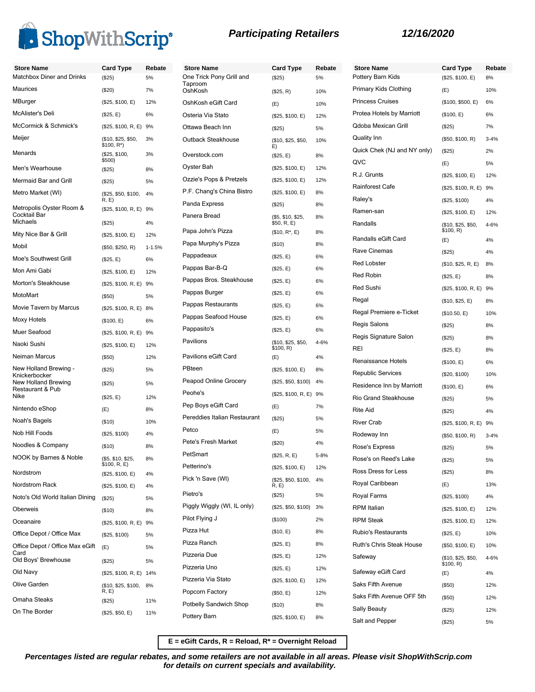

| <b>Store Name</b>                       | <b>Card Type</b>                 | Rebate     | <b>Store Name</b>                   | <b>Card Type</b>                 | Rebate | Stor        |
|-----------------------------------------|----------------------------------|------------|-------------------------------------|----------------------------------|--------|-------------|
| Matchbox Diner and Drinks               | (\$25)                           | 5%         | One Trick Pony Grill and<br>Taproom | (\$25)                           | 5%     | Potte       |
| Maurices                                | (\$20)                           | 7%         | OshKosh                             | (\$25, R)                        | 10%    | Prima       |
| MBurger                                 | (\$25, \$100, E)                 | 12%        | OshKosh eGift Card                  | (E)                              | 10%    | Princ       |
| McAlister's Deli                        | (\$25, E)                        | 6%         | Osteria Via Stato                   | (\$25, \$100, E)                 | 12%    | Prote       |
| McCormick & Schmick's                   | (\$25, \$100, R, E) 9%           |            | Ottawa Beach Inn                    | (\$25)                           | 5%     | Qdob        |
| Meijer                                  | (\$10, \$25, \$50,<br>\$100, R*) | 3%         | Outback Steakhouse                  | (\$10, \$25, \$50,<br>E)         | 10%    | Quali       |
| Menards                                 | (\$25, \$100,<br>\$500)          | 3%         | Overstock.com                       | (\$25, E)                        | 8%     | Quicl       |
| Men's Wearhouse                         | (\$25)                           | 8%         | Oyster Bah                          | (\$25, \$100, E)                 | 12%    | QVC         |
| Mermaid Bar and Grill                   | (\$25)                           | 5%         | Ozzie's Pops & Pretzels             | (\$25, \$100, E)                 | 12%    | R.J.        |
| Metro Market (WI)                       | (\$25, \$50, \$100,              | 4%         | P.F. Chang's China Bistro           | (\$25, \$100, E)                 | 8%     | Rainf       |
| Metropolis Oyster Room &                | R, E)<br>(\$25, \$100, R, E) 9%  |            | Panda Express                       | (\$25)                           | 8%     | Raley       |
| Cocktail Bar<br><b>Michaels</b>         | (\$25)                           | 4%         | Panera Bread                        | (\$5, \$10, \$25,<br>\$50, R, E) | 8%     | <b>Ram</b>  |
| Mity Nice Bar & Grill                   | (\$25, \$100, E)                 | 12%        | Papa John's Pizza                   | $($10, R^*, E)$                  | 8%     | Rand        |
| Mobil                                   |                                  |            | Papa Murphy's Pizza                 | (\$10)                           | 8%     | Rand        |
| Moe's Southwest Grill                   | (\$50, \$250, R)                 | $1 - 1.5%$ | Pappadeaux                          | (\$25, E)                        | 6%     | Rave        |
| Mon Ami Gabi                            | (\$25, E)                        | 6%         | Pappas Bar-B-Q                      | (\$25, E)                        | 6%     | Red I       |
| Morton's Steakhouse                     | (\$25, \$100, E)                 | 12%        | Pappas Bros. Steakhouse             | (\$25, E)                        | 6%     | Red I       |
| MotoMart                                | (\$25, \$100, R, E) 9%           |            | Pappas Burger                       | (\$25, E)                        | 6%     | Red :       |
|                                         | (\$50)                           | 5%         | Pappas Restaurants                  | (\$25, E)                        | 6%     | Rega        |
| Movie Tavern by Marcus                  | (\$25, \$100, R, E) 8%           |            | Pappas Seafood House                | (\$25, E)                        | 6%     | Rega        |
| Moxy Hotels                             | (\$100, E)                       | 6%         | Pappasito's                         | (\$25, E)                        | 6%     | Regis       |
| Muer Seafood                            | (\$25, \$100, R, E) 9%           |            | Pavilions                           | (\$10, \$25, \$50,               | 4-6%   | Regis       |
| Naoki Sushi                             | (\$25, \$100, E)                 | 12%        |                                     | \$100, R)                        |        | REI         |
| Neiman Marcus                           | (\$50)                           | 12%        | Pavilions eGift Card                | (E)                              | 4%     | Rena        |
| New Holland Brewing -<br>Knickerbocker  | (\$25)                           | 5%         | PBteen                              | (\$25, \$100, E)                 | 8%     | Repu        |
| New Holland Brewing<br>Restaurant & Pub | (\$25)                           | 5%         | Peapod Online Grocery               | (\$25, \$50, \$100)              | 4%     | Resio       |
| Nike                                    | (\$25, E)                        | 12%        | Peohe's                             | (\$25, \$100, R, E) 9%           |        | Rio C       |
| Nintendo eShop                          | (E)                              | 8%         | Pep Boys eGift Card                 | (E)                              | 7%     | Rite /      |
| Noah's Bagels                           | (\$10)                           | 10%        | Pereddies Italian Restaurant        | (\$25)                           | 5%     | River       |
| Nob Hill Foods                          | (\$25, \$100)                    | 4%         | Petco                               | (E)                              | 5%     | Rode        |
| Noodles & Company                       | (\$10)                           | 8%         | Pete's Fresh Market                 | (\$20)                           | 4%     | Rose        |
| NOOK by Barnes & Noble                  | (\$5, \$10, \$25,                | 8%         | PetSmart                            | (\$25, R, E)                     | 5-8%   | Rose        |
| Nordstrom                               | \$100, R, E)<br>(\$25, \$100, E) | 4%         | Petterino's                         | (\$25, \$100, E)                 | 12%    | Ross        |
| Nordstrom Rack                          | (\$25, \$100, E)                 | 4%         | Pick 'n Save (WI)                   | (\$25, \$50, \$100,<br>R, E)     | 4%     | Roya        |
| Noto's Old World Italian Dining         | (\$25)                           | 5%         | Pietro's                            | $(\$25)$                         | 5%     | Roya        |
| Oberweis                                | (\$10)                           | 8%         | Piggly Wiggly (WI, IL only)         | (\$25, \$50, \$100)              | 3%     | <b>RPM</b>  |
| Oceanaire                               | (\$25, \$100, R, E) 9%           |            | Pilot Flying J                      | (\$100)                          | 2%     | <b>RPM</b>  |
| Office Depot / Office Max               | (\$25, \$100)                    | 5%         | Pizza Hut                           | (\$10, E)                        | 8%     | Rubio       |
| Office Depot / Office Max eGift         | (E)                              | 5%         | Pizza Ranch                         | (\$25, E)                        | 8%     | Ruth'       |
| Card<br>Old Boys' Brewhouse             |                                  |            | Pizzeria Due                        | (\$25, E)                        | 12%    | Safey       |
|                                         | (\$25)                           | 5%         | Pizzeria Uno                        | (\$25, E)                        | 12%    |             |
| Old Navy<br>Olive Garden                | (\$25, \$100, R, E) 14%          |            | Pizzeria Via Stato                  | (\$25, \$100, E)                 | 12%    | <b>Safe</b> |
|                                         | (\$10, \$25, \$100,<br>R, E)     | 8%         | Popcorn Factory                     | (\$50, E)                        | 12%    | Saks        |
| Omaha Steaks                            | (\$25)                           | 11%        | Potbelly Sandwich Shop              | (\$10)                           | 8%     | Saks        |
| On The Border                           | (\$25, \$50, E)                  | 11%        | Pottery Barn                        | (\$25, \$100, E)                 | 8%     | Sally       |
|                                         |                                  |            |                                     |                                  |        | Salt a      |

| <b>Store Name</b>           | Card Type                       | Rebate   |
|-----------------------------|---------------------------------|----------|
| Pottery Barn Kids           | (\$25, \$100, E)                | 8%       |
| Primary Kids Clothing       | (E)                             | 10%      |
| <b>Princess Cruises</b>     | (\$100, \$500, E)               | 6%       |
| Protea Hotels by Marriott   | (\$100, E)                      | 6%       |
| Qdoba Mexican Grill         | (\$25)                          | 7%       |
| Quality Inn                 | (\$50, \$100, R)                | $3 - 4%$ |
| Quick Chek (NJ and NY only) | (\$25)                          | 2%       |
| QVC                         | (E)                             | 5%       |
| R.J. Grunts                 | (\$25, \$100, E)                | 12%      |
| Rainforest Cafe             | (\$25, \$100, R, E) 9%          |          |
| Raley's                     | (\$25, \$100)                   | 4%       |
| Ramen-san                   | (\$25, \$100, E)                | 12%      |
| Randalls                    | (\$10, \$25, \$50,<br>\$100, R) | 4-6%     |
| Randalls eGift Card         | (E)                             | 4%       |
| Rave Cinemas                | $(\$25)$                        | 4%       |
| Red Lobster                 | (\$10, \$25, R, E)              | 8%       |
| Red Robin                   | (\$25, E)                       | 8%       |
| Red Sushi                   | (\$25, \$100, R, E)             | 9%       |
| Regal                       | (\$10, \$25, E)                 | 8%       |
| Regal Premiere e-Ticket     | (\$10.50, E)                    | 10%      |
| Regis Salons                | (\$25)                          | 8%       |
| Regis Signature Salon       | (\$25)                          | 8%       |
| REI                         | (\$25, E)                       | 8%       |
| Renaissance Hotels          | (\$100, E)                      | 6%       |
| Republic Services           | (\$20, \$100)                   | 10%      |
| Residence Inn by Marriott   | (\$100, E)                      | 6%       |
| <b>Rio Grand Steakhouse</b> | (\$25)                          | 5%       |
| Rite Aid                    | (\$25)                          | 4%       |
| <b>River Crab</b>           | (\$25, \$100, R, E)             | 9%       |
| Rodeway Inn                 | (\$50, \$100, R)                | $3 - 4%$ |
| Rose's Express              | (\$25)                          | 5%       |
| Rose's on Reed's Lake       | (\$25)                          | 5%       |
| Ross Dress for Less         | $(\$25)$                        | 8%       |
| Royal Caribbean             | (E)                             | 13%      |
| Royal Farms                 | (\$25, \$100)                   | 4%       |
| <b>RPM</b> Italian          | (\$25, \$100, E)                | 12%      |
| <b>RPM Steak</b>            | (\$25, \$100, E)                | 12%      |
| Rubio's Restaurants         | (\$25, E)                       | 10%      |
| Ruth's Chris Steak House    | (\$50, \$100, E)                | 10%      |
| Safeway                     | (\$10, \$25, \$50,<br>\$100, R) | 4-6%     |
| Safeway eGift Card          | (E)                             | 4%       |
| Saks Fifth Avenue           | $($ \$50)                       | 12%      |
| Saks Fifth Avenue OFF 5th   | (\$50)                          | 12%      |
| Sally Beauty                | $(\$25)$                        | 12%      |
| Salt and Pepper             | $(\$25)$                        | 5%       |

**E = eGift Cards, R = Reload, R\* = Overnight Reload**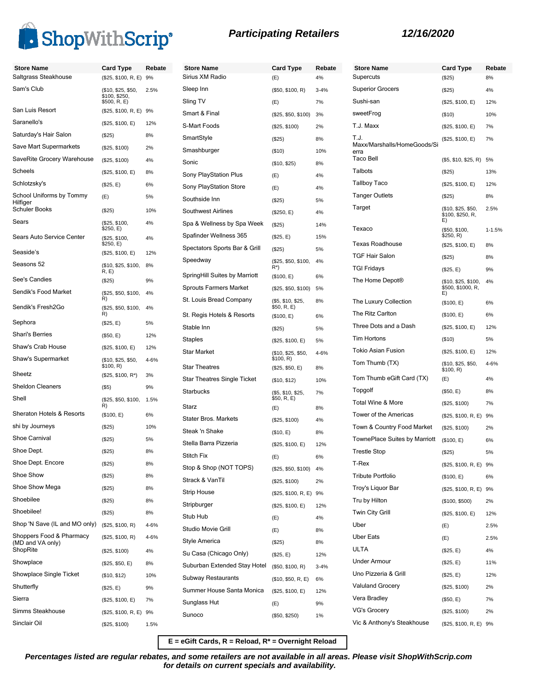

**Store Name Card Type Rebate**

| <b>Store Name</b>                            | Card Type                           | Rebate | <b>Store Name</b>             | <b>Card Type</b>                 | Reb      |
|----------------------------------------------|-------------------------------------|--------|-------------------------------|----------------------------------|----------|
| Saltgrass Steakhouse                         | (\$25, \$100, R, E) 9%              |        | Sirius XM Radio               | (E)                              | 4%       |
| Sam's Club                                   | (\$10, \$25, \$50,<br>\$100, \$250, | 2.5%   | Sleep Inn                     | (\$50, \$100, R)                 | $3 - 4%$ |
|                                              | \$500, R, E)                        |        | Sling TV                      | (E)                              | 7%       |
| San Luis Resort                              | (\$25, \$100, R, E) 9%              |        | Smart & Final                 | (\$25, \$50, \$100)              | 3%       |
| Saranello's                                  | (\$25, \$100, E)                    | 12%    | S-Mart Foods                  | (\$25, \$100)                    | 2%       |
| Saturday's Hair Salon                        | (\$25)                              | 8%     | SmartStyle                    | (\$25)                           | 8%       |
| Save Mart Supermarkets                       | (\$25, \$100)                       | 2%     | Smashburger                   | (\$10)                           | 10%      |
| SaveRite Grocery Warehouse                   | (\$25, \$100)                       | 4%     | Sonic                         | (\$10, \$25)                     | 8%       |
| Scheels                                      | (\$25, \$100, E)                    | 8%     | Sony PlayStation Plus         | (E)                              | 4%       |
| Schlotzsky's                                 | (\$25, E)                           | 6%     | Sony PlayStation Store        | (E)                              | 4%       |
| School Uniforms by Tommy<br>Hilfiger         | (E)                                 | 5%     | Southside Inn                 | $(\$25)$                         | 5%       |
| Schuler Books                                | (\$25)                              | 10%    | <b>Southwest Airlines</b>     | (\$250, E)                       | 4%       |
| Sears                                        | (\$25, \$100,                       | 4%     | Spa & Wellness by Spa Week    | $(\$25)$                         | 14%      |
| Sears Auto Service Center                    | \$250, E)<br>(\$25, \$100,          | 4%     | Spafinder Wellness 365        | (\$25, E)                        | 15%      |
|                                              | \$250, E)                           |        | Spectators Sports Bar & Grill | $(\$25)$                         | 5%       |
| Seaside's                                    | (\$25, \$100, E)                    | 12%    | Speedway                      | (\$25, \$50, \$100,              | 4%       |
| Seasons 52                                   | (\$10, \$25, \$100,<br>R, E         | 8%     |                               | R*)                              |          |
| See's Candies                                | (\$25)                              | 9%     | SpringHill Suites by Marriott | (\$100, E)                       | 6%       |
| Sendik's Food Market                         | (\$25, \$50, \$100,                 | 4%     | <b>Sprouts Farmers Market</b> | (\$25, \$50, \$100)              | 5%       |
| Sendik's Fresh2Go                            | R)<br>(\$25, \$50, \$100,           | 4%     | St. Louis Bread Company       | (\$5, \$10, \$25,<br>\$50, R, E) | 8%       |
|                                              | R)                                  |        | St. Regis Hotels & Resorts    | (\$100, E)                       | 6%       |
| Sephora<br><b>Shari's Berries</b>            | (\$25, E)                           | 5%     | Stable Inn                    | (\$25)                           | 5%       |
|                                              | (\$50, E)                           | 12%    | Staples                       | (\$25, \$100, E)                 | 5%       |
| Shaw's Crab House                            | (\$25, \$100, E)                    | 12%    | <b>Star Market</b>            | (\$10, \$25, \$50,               | 4-6%     |
| Shaw's Supermarket                           | (\$10, \$25, \$50,<br>\$100, R)     | 4-6%   | <b>Star Theatres</b>          | \$100, R)<br>(\$25, \$50, E)     | 8%       |
| Sheetz                                       | $($25, $100, R^*)$                  | 3%     | Star Theatres Single Ticket   | (\$10, \$12)                     | 10%      |
| <b>Sheldon Cleaners</b>                      | $($ \$5)                            | 9%     | <b>Starbucks</b>              | (\$5, \$10, \$25,                | 7%       |
| Shell                                        | (\$25, \$50, \$100,                 | 1.5%   |                               | \$50, R, E)                      |          |
| Sheraton Hotels & Resorts                    | R)<br>(\$100, E)                    | 6%     | Starz                         | (E)                              | 8%       |
| shi by Journeys                              | (\$25)                              | 10%    | <b>Stater Bros. Markets</b>   | (\$25, \$100)                    | 4%       |
| Shoe Carnival                                | (\$25)                              | 5%     | Steak 'n Shake                | (\$10, E)                        | 8%       |
| Shoe Dept.                                   | (\$25)                              | 8%     | Stella Barra Pizzeria         | (\$25, \$100, E)                 | 12%      |
| Shoe Dept. Encore                            |                                     | 8%     | Stitch Fix                    | (E)                              | 6%       |
| Shoe Show                                    | (\$25)                              |        | Stop & Shop (NOT TOPS)        | (\$25, \$50, \$100)              | 4%       |
| Shoe Show Mega                               | (\$25)                              | 8%     | Strack & VanTil               | (\$25, \$100)                    | 2%       |
|                                              | (\$25)                              | 8%     | Strip House                   | (\$25, \$100, R, E) 9%           |          |
| Shoebilee                                    | (\$25)                              | 8%     | Stripburger                   | (\$25, \$100, E)                 | 12%      |
| Shoebilee!                                   | (\$25)                              | 8%     | Stub Hub                      | (E)                              | 4%       |
| Shop 'N Save (IL and MO only)                | (\$25, \$100, R)                    | 4-6%   | Studio Movie Grill            | (E)                              | 8%       |
| Shoppers Food & Pharmacy<br>(MD and VA only) | (\$25, \$100, R)                    | 4-6%   | Style America                 | (\$25)                           | 8%       |
| ShopRite                                     | (\$25, \$100)                       | 4%     | Su Casa (Chicago Only)        | (\$25, E)                        | 12%      |
| Showplace                                    | (\$25, \$50, E)                     | 8%     | Suburban Extended Stay Hotel  | (\$50, \$100, R)                 | $3 - 4%$ |
| Showplace Single Ticket                      | (\$10, \$12)                        | 10%    | Subway Restaurants            | (\$10, \$50, R, E)               | 6%       |
| Shutterfly                                   | (\$25, E)                           | 9%     | Summer House Santa Monica     | (\$25, \$100, E)                 | 12%      |
| Sierra                                       | (\$25, \$100, E)                    | 7%     | Sunglass Hut                  | (E)                              | 9%       |
| Simms Steakhouse                             | (\$25, \$100, R, E) 9%              |        | Sunoco                        |                                  | 1%       |
| Sinclair Oil                                 | (\$25, \$100)                       | 1.5%   |                               | (\$50, \$250)                    |          |
|                                              |                                     |        |                               |                                  |          |

| <b>Store Name</b><br>Supercuts      | Card Type<br>(\$25)                            | Rebate<br>8% |
|-------------------------------------|------------------------------------------------|--------------|
| Superior Grocers                    | (\$25)                                         | 4%           |
| Sushi-san                           | (\$25, \$100, E)                               | 12%          |
| sweetFrog                           | (\$10)                                         | 10%          |
| T.J. Maxx                           | (\$25, \$100, E)                               | 7%           |
| T.J.                                | (\$25, \$100, E)                               | 7%           |
| Maxx/Marshalls/HomeGoods/Si<br>erra |                                                |              |
| Taco Bell                           | (\$5, \$10, \$25, R)                           | 5%           |
| Talbots                             | (\$25)                                         | 13%          |
| Tallboy Taco                        | (\$25, \$100, E)                               | 12%          |
| Tanger Outlets                      | (\$25)                                         | 8%           |
| Target                              | (\$10, \$25, \$50,<br>\$100, \$250, R,<br>E)   | 2.5%         |
| Texaco                              | (\$50, \$100,<br>\$250, R)                     | $1 - 1.5%$   |
| Texas Roadhouse                     | (\$25, \$100, E)                               | 8%           |
| <b>TGF Hair Salon</b>               | $(\$25)$                                       | 8%           |
| <b>TGI Fridays</b>                  | (\$25, E)                                      | 9%           |
| The Home Depot <sup>®</sup>         | (\$10, \$25, \$100,<br>\$500, \$1000, R,<br>E) | 4%           |
| The Luxury Collection               | (\$100, E)                                     | 6%           |
| The Ritz Carlton                    | (\$100, E)                                     | 6%           |
| Three Dots and a Dash               | (\$25, \$100, E)                               | 12%          |
| Tim Hortons                         | (\$10)                                         | 5%           |
| <b>Tokio Asian Fusion</b>           | (\$25, \$100, E)                               | 12%          |
| Tom Thumb (TX)                      | (\$10, \$25, \$50,<br>\$100, R)                | 4-6%         |
| Tom Thumb eGift Card (TX)           | (E)                                            | 4%           |
| Topgolf                             | (\$50, E)                                      | 8%           |
| <b>Total Wine &amp; More</b>        | (\$25, \$100)                                  | 7%           |
| Tower of the Americas               | (\$25, \$100, R, E)                            | 9%           |
| Town & Country Food Market          | (\$25, \$100)                                  | 2%           |
| TownePlace Suites by Marriott       | (\$100, E)                                     | 6%           |
| <b>Trestle Stop</b>                 | (\$25)                                         | 5%           |
| T-Rex                               | (\$25, \$100, R, E) 9%                         |              |
| <b>Tribute Portfolio</b>            | (\$100, E)                                     | 6%           |
| Troy's Liquor Bar                   | (\$25, \$100, R, E) 9%                         |              |
| Tru by Hilton                       | (\$100, \$500)                                 | 2%           |
| <b>Twin City Grill</b>              | (\$25, \$100, E)                               | 12%          |
| Uber                                | (E)                                            | 2.5%         |
| <b>Uber Eats</b>                    | (E)                                            | 2.5%         |
| ULTA                                | (\$25, E)                                      | 4%           |
| <b>Under Armour</b>                 | (\$25, E)                                      | 11%          |
| Uno Pizzeria & Grill                | (\$25, E)                                      | 12%          |
| <b>Valuland Grocery</b>             | (\$25, \$100)                                  | 2%           |
| Vera Bradley                        | (\$50, E)                                      | 7%           |
| <b>VG's Grocery</b>                 | (\$25, \$100)                                  | 2%           |
| Vic & Anthony's Steakhouse          | (\$25, \$100, R, E) 9%                         |              |

**E = eGift Cards, R = Reload, R\* = Overnight Reload**